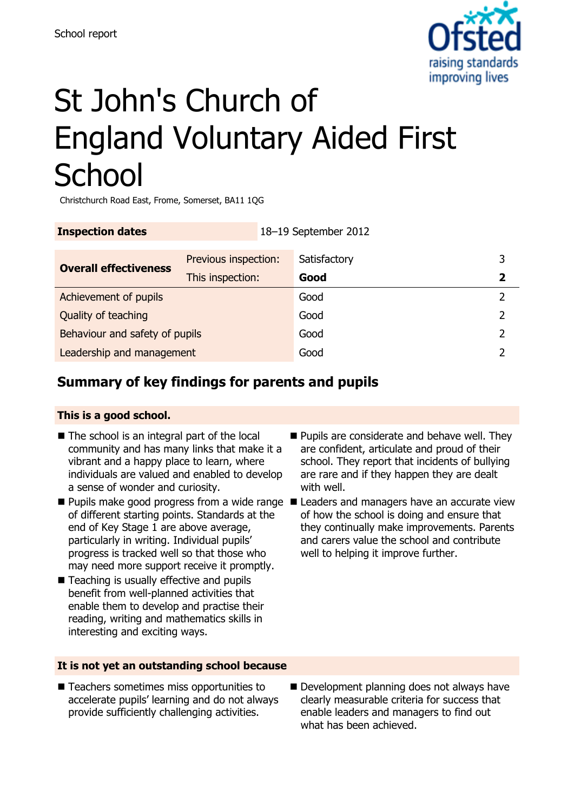

# St John's Church of England Voluntary Aided First **School**

Christchurch Road East, Frome, Somerset, BA11 1QG

| <b>Inspection dates</b>        |                      | 18-19 September 2012 |              |   |
|--------------------------------|----------------------|----------------------|--------------|---|
| <b>Overall effectiveness</b>   | Previous inspection: |                      | Satisfactory | 3 |
|                                | This inspection:     |                      | Good         | 2 |
| Achievement of pupils          |                      |                      | Good         |   |
| Quality of teaching            |                      |                      | Good         |   |
| Behaviour and safety of pupils |                      |                      | Good         |   |
| Leadership and management      |                      |                      | Good         |   |

## **Summary of key findings for parents and pupils**

#### **This is a good school.**

- The school is an integral part of the local community and has many links that make it a vibrant and a happy place to learn, where individuals are valued and enabled to develop a sense of wonder and curiosity.
- of different starting points. Standards at the end of Key Stage 1 are above average, particularly in writing. Individual pupils' progress is tracked well so that those who may need more support receive it promptly.
- Teaching is usually effective and pupils benefit from well-planned activities that enable them to develop and practise their reading, writing and mathematics skills in interesting and exciting ways.

#### **It is not yet an outstanding school because**

■ Teachers sometimes miss opportunities to accelerate pupils' learning and do not always provide sufficiently challenging activities.

- **Pupils are considerate and behave well. They** are confident, articulate and proud of their school. They report that incidents of bullying are rare and if they happen they are dealt with well.
- Pupils make good progress from a wide range Leaders and managers have an accurate view of how the school is doing and ensure that they continually make improvements. Parents and carers value the school and contribute well to helping it improve further.

Development planning does not always have clearly measurable criteria for success that enable leaders and managers to find out what has been achieved.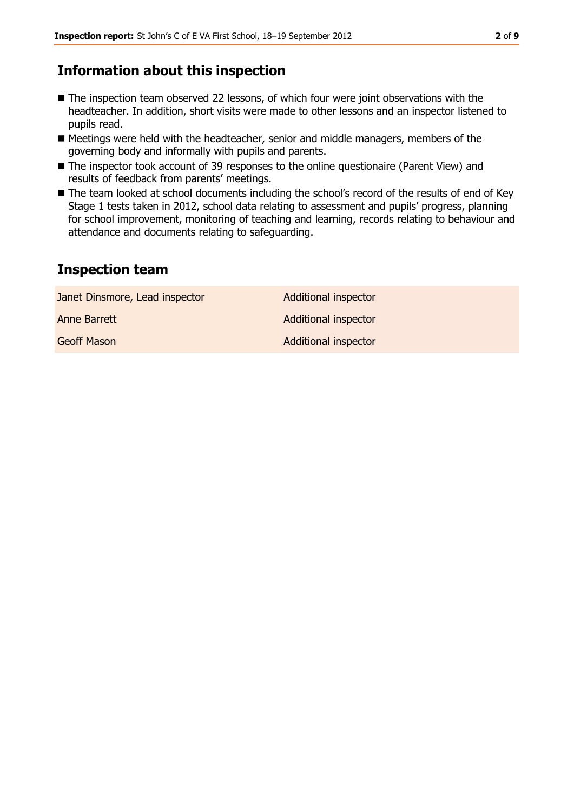### **Information about this inspection**

- The inspection team observed 22 lessons, of which four were joint observations with the headteacher. In addition, short visits were made to other lessons and an inspector listened to pupils read.
- Meetings were held with the headteacher, senior and middle managers, members of the governing body and informally with pupils and parents.
- The inspector took account of 39 responses to the online questionaire (Parent View) and results of feedback from parents' meetings.
- The team looked at school documents including the school's record of the results of end of Key Stage 1 tests taken in 2012, school data relating to assessment and pupils' progress, planning for school improvement, monitoring of teaching and learning, records relating to behaviour and attendance and documents relating to safeguarding.

### **Inspection team**

| Janet Dinsmore, Lead inspector | <b>Additional inspector</b> |
|--------------------------------|-----------------------------|
| Anne Barrett                   | <b>Additional inspector</b> |
| <b>Geoff Mason</b>             | <b>Additional inspector</b> |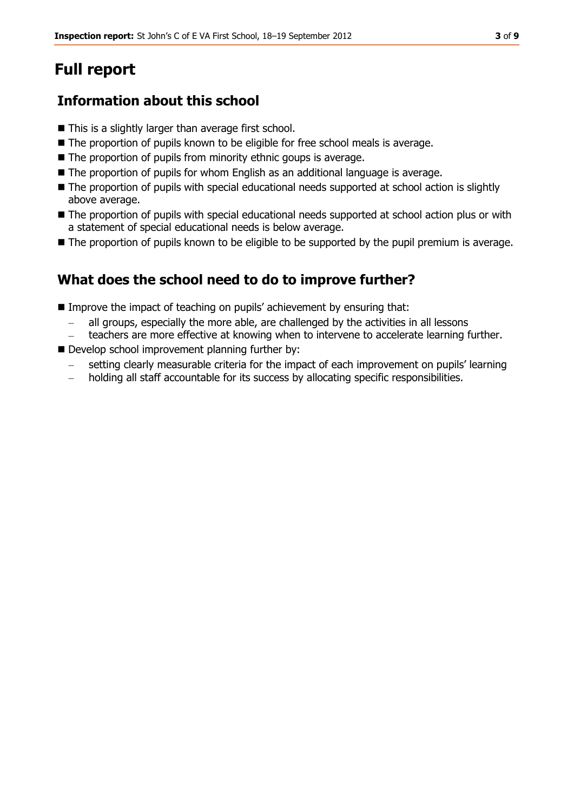## **Full report**

## **Information about this school**

- This is a slightly larger than average first school.
- The proportion of pupils known to be eligible for free school meals is average.
- The proportion of pupils from minority ethnic goups is average.
- The proportion of pupils for whom English as an additional language is average.
- The proportion of pupils with special educational needs supported at school action is slightly above average.
- The proportion of pupils with special educational needs supported at school action plus or with a statement of special educational needs is below average.
- The proportion of pupils known to be eligible to be supported by the pupil premium is average.

## **What does the school need to do to improve further?**

- Improve the impact of teaching on pupils' achievement by ensuring that:
	- all groups, especially the more able, are challenged by the activities in all lessons
	- teachers are more effective at knowing when to intervene to accelerate learning further.
- Develop school improvement planning further by:
	- setting clearly measurable criteria for the impact of each improvement on pupils' learning
	- holding all staff accountable for its success by allocating specific responsibilities.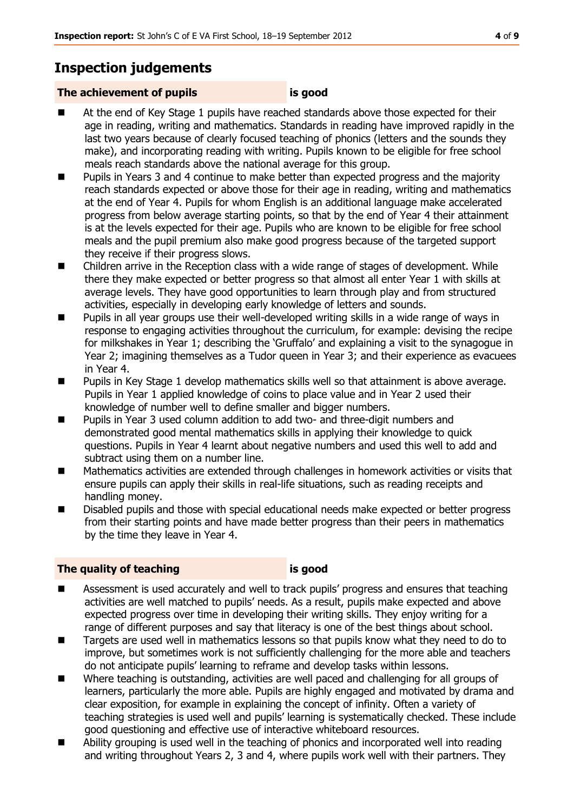## **Inspection judgements**

#### **The achievement of pupils is good**

- At the end of Key Stage 1 pupils have reached standards above those expected for their age in reading, writing and mathematics. Standards in reading have improved rapidly in the last two years because of clearly focused teaching of phonics (letters and the sounds they make), and incorporating reading with writing. Pupils known to be eligible for free school meals reach standards above the national average for this group.
- **Pupils in Years 3 and 4 continue to make better than expected progress and the majority** reach standards expected or above those for their age in reading, writing and mathematics at the end of Year 4. Pupils for whom English is an additional language make accelerated progress from below average starting points, so that by the end of Year 4 their attainment is at the levels expected for their age. Pupils who are known to be eligible for free school meals and the pupil premium also make good progress because of the targeted support they receive if their progress slows.
- Children arrive in the Reception class with a wide range of stages of development. While there they make expected or better progress so that almost all enter Year 1 with skills at average levels. They have good opportunities to learn through play and from structured activities, especially in developing early knowledge of letters and sounds.
- **Pupils in all year groups use their well-developed writing skills in a wide range of ways in** response to engaging activities throughout the curriculum, for example: devising the recipe for milkshakes in Year 1; describing the 'Gruffalo' and explaining a visit to the synagogue in Year 2; imagining themselves as a Tudor queen in Year 3; and their experience as evacuees in Year 4.
- **Pupils in Key Stage 1 develop mathematics skills well so that attainment is above average.** Pupils in Year 1 applied knowledge of coins to place value and in Year 2 used their knowledge of number well to define smaller and bigger numbers.
- Pupils in Year 3 used column addition to add two- and three-digit numbers and demonstrated good mental mathematics skills in applying their knowledge to quick questions. Pupils in Year 4 learnt about negative numbers and used this well to add and subtract using them on a number line.
- Mathematics activities are extended through challenges in homework activities or visits that ensure pupils can apply their skills in real-life situations, such as reading receipts and handling money.
- Disabled pupils and those with special educational needs make expected or better progress from their starting points and have made better progress than their peers in mathematics by the time they leave in Year 4.

#### **The quality of teaching is good**

- **EXTERN** Assessment is used accurately and well to track pupils' progress and ensures that teaching activities are well matched to pupils' needs. As a result, pupils make expected and above expected progress over time in developing their writing skills. They enjoy writing for a range of different purposes and say that literacy is one of the best things about school.
- Targets are used well in mathematics lessons so that pupils know what they need to do to improve, but sometimes work is not sufficiently challenging for the more able and teachers do not anticipate pupils' learning to reframe and develop tasks within lessons.
- Where teaching is outstanding, activities are well paced and challenging for all groups of learners, particularly the more able. Pupils are highly engaged and motivated by drama and clear exposition, for example in explaining the concept of infinity. Often a variety of teaching strategies is used well and pupils' learning is systematically checked. These include good questioning and effective use of interactive whiteboard resources.
- Ability grouping is used well in the teaching of phonics and incorporated well into reading and writing throughout Years 2, 3 and 4, where pupils work well with their partners. They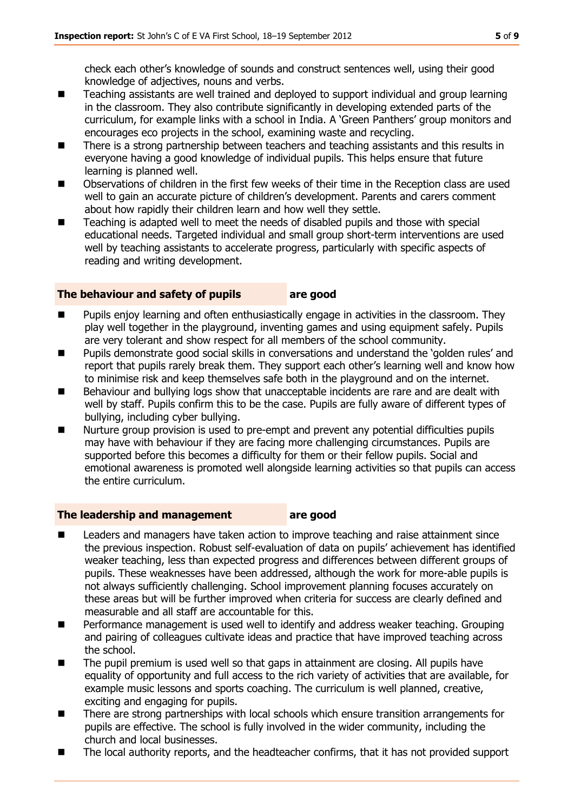check each other's knowledge of sounds and construct sentences well, using their good knowledge of adjectives, nouns and verbs.

- Teaching assistants are well trained and deployed to support individual and group learning in the classroom. They also contribute significantly in developing extended parts of the curriculum, for example links with a school in India. A 'Green Panthers' group monitors and encourages eco projects in the school, examining waste and recycling.
- There is a strong partnership between teachers and teaching assistants and this results in everyone having a good knowledge of individual pupils. This helps ensure that future learning is planned well.
- **Demoglem** Observations of children in the first few weeks of their time in the Reception class are used well to gain an accurate picture of children's development. Parents and carers comment about how rapidly their children learn and how well they settle.
- Teaching is adapted well to meet the needs of disabled pupils and those with special educational needs. Targeted individual and small group short-term interventions are used well by teaching assistants to accelerate progress, particularly with specific aspects of reading and writing development.

#### **The behaviour and safety of pupils are good**

- Pupils enjoy learning and often enthusiastically engage in activities in the classroom. They play well together in the playground, inventing games and using equipment safely. Pupils are very tolerant and show respect for all members of the school community.
- Pupils demonstrate good social skills in conversations and understand the 'golden rules' and report that pupils rarely break them. They support each other's learning well and know how to minimise risk and keep themselves safe both in the playground and on the internet.
- Behaviour and bullying logs show that unacceptable incidents are rare and are dealt with well by staff. Pupils confirm this to be the case. Pupils are fully aware of different types of bullying, including cyber bullying.
- Nurture group provision is used to pre-empt and prevent any potential difficulties pupils may have with behaviour if they are facing more challenging circumstances. Pupils are supported before this becomes a difficulty for them or their fellow pupils. Social and emotional awareness is promoted well alongside learning activities so that pupils can access the entire curriculum.

#### **The leadership and management are good**

- Leaders and managers have taken action to improve teaching and raise attainment since the previous inspection. Robust self-evaluation of data on pupils' achievement has identified weaker teaching, less than expected progress and differences between different groups of pupils. These weaknesses have been addressed, although the work for more-able pupils is not always sufficiently challenging. School improvement planning focuses accurately on these areas but will be further improved when criteria for success are clearly defined and measurable and all staff are accountable for this.
- Performance management is used well to identify and address weaker teaching. Grouping and pairing of colleagues cultivate ideas and practice that have improved teaching across the school.
- The pupil premium is used well so that gaps in attainment are closing. All pupils have equality of opportunity and full access to the rich variety of activities that are available, for example music lessons and sports coaching. The curriculum is well planned, creative, exciting and engaging for pupils.
- There are strong partnerships with local schools which ensure transition arrangements for pupils are effective. The school is fully involved in the wider community, including the church and local businesses.
- The local authority reports, and the headteacher confirms, that it has not provided support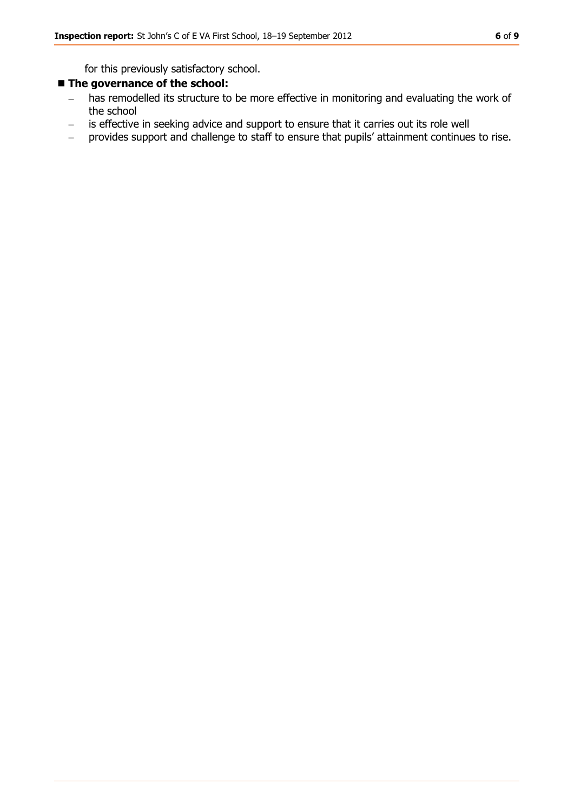for this previously satisfactory school.

#### **The governance of the school:**

- has remodelled its structure to be more effective in monitoring and evaluating the work of  $\equiv$ the school
- is effective in seeking advice and support to ensure that it carries out its role well  $\overline{\phantom{m}}$
- provides support and challenge to staff to ensure that pupils' attainment continues to rise. $\overline{\phantom{0}}$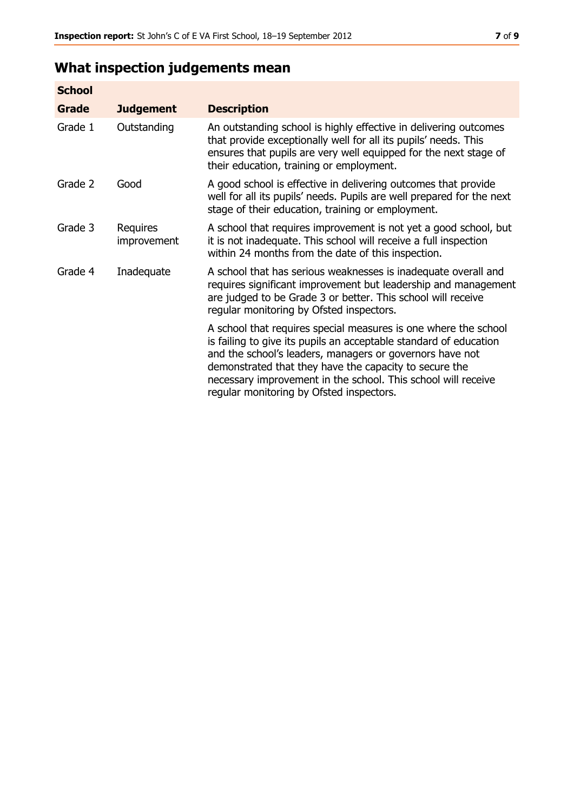## **What inspection judgements mean**

| <b>School</b> |                         |                                                                                                                                                                                                                                                                                                                                                                         |
|---------------|-------------------------|-------------------------------------------------------------------------------------------------------------------------------------------------------------------------------------------------------------------------------------------------------------------------------------------------------------------------------------------------------------------------|
| Grade         | <b>Judgement</b>        | <b>Description</b>                                                                                                                                                                                                                                                                                                                                                      |
| Grade 1       | Outstanding             | An outstanding school is highly effective in delivering outcomes<br>that provide exceptionally well for all its pupils' needs. This<br>ensures that pupils are very well equipped for the next stage of<br>their education, training or employment.                                                                                                                     |
| Grade 2       | Good                    | A good school is effective in delivering outcomes that provide<br>well for all its pupils' needs. Pupils are well prepared for the next<br>stage of their education, training or employment.                                                                                                                                                                            |
| Grade 3       | Requires<br>improvement | A school that requires improvement is not yet a good school, but<br>it is not inadequate. This school will receive a full inspection<br>within 24 months from the date of this inspection.                                                                                                                                                                              |
| Grade 4       | Inadequate              | A school that has serious weaknesses is inadequate overall and<br>requires significant improvement but leadership and management<br>are judged to be Grade 3 or better. This school will receive<br>regular monitoring by Ofsted inspectors.                                                                                                                            |
|               |                         | A school that requires special measures is one where the school<br>is failing to give its pupils an acceptable standard of education<br>and the school's leaders, managers or governors have not<br>demonstrated that they have the capacity to secure the<br>necessary improvement in the school. This school will receive<br>regular monitoring by Ofsted inspectors. |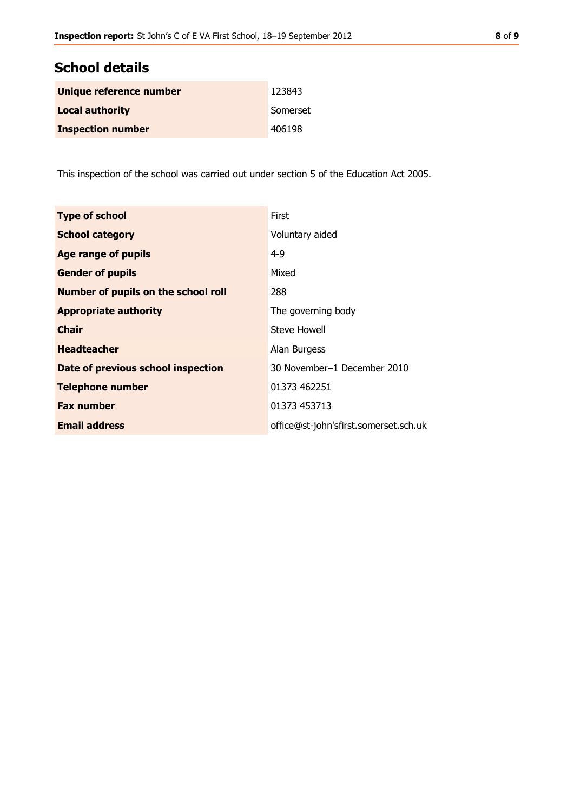## **School details**

| Unique reference number  | 123843   |
|--------------------------|----------|
| <b>Local authority</b>   | Somerset |
| <b>Inspection number</b> | 406198   |

This inspection of the school was carried out under section 5 of the Education Act 2005.

| <b>Type of school</b>                      | <b>First</b>                          |
|--------------------------------------------|---------------------------------------|
| <b>School category</b>                     | Voluntary aided                       |
| <b>Age range of pupils</b>                 | $4 - 9$                               |
| <b>Gender of pupils</b>                    | Mixed                                 |
| <b>Number of pupils on the school roll</b> | 288                                   |
| <b>Appropriate authority</b>               | The governing body                    |
| <b>Chair</b>                               | Steve Howell                          |
| <b>Headteacher</b>                         | Alan Burgess                          |
| Date of previous school inspection         | 30 November-1 December 2010           |
| <b>Telephone number</b>                    | 01373 462251                          |
| <b>Fax number</b>                          | 01373 453713                          |
| <b>Email address</b>                       | office@st-john'sfirst.somerset.sch.uk |